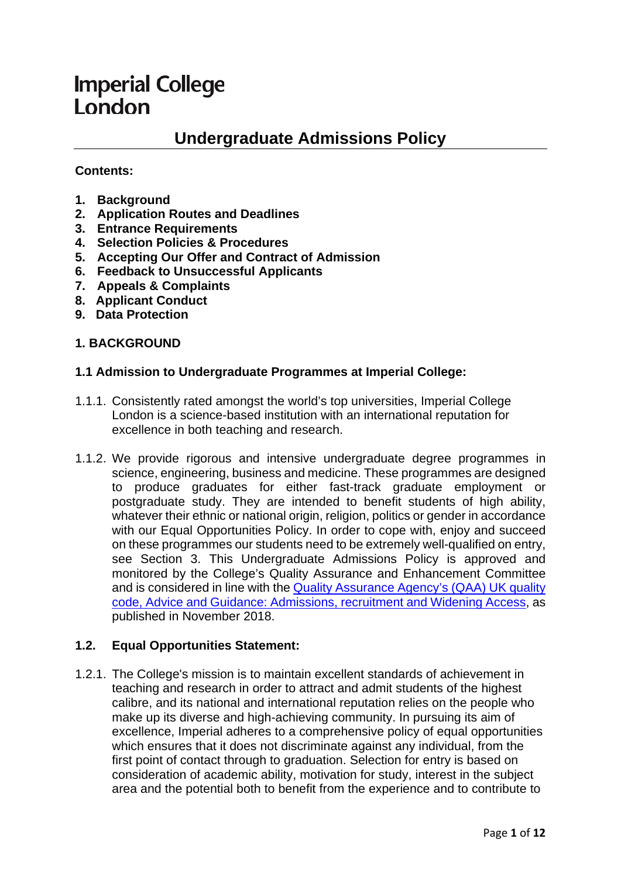# **Imperial College** London

# **Undergraduate Admissions Policy**

# **Contents:**

- **1. Background**
- **2. Application Routes and Deadlines**
- **3. Entrance Requirements**
- **4. Selection Policies & Procedures**
- **5. Accepting Our Offer and Contract of Admission**
- **6. Feedback to Unsuccessful Applicants**
- **7. Appeals & Complaints**
- **8. Applicant Conduct**
- **9. Data Protection**

#### **1. BACKGROUND**

#### **1.1 Admission to Undergraduate Programmes at Imperial College:**

- 1.1.1. Consistently rated amongst the world's top universities, Imperial College London is a science-based institution with an international reputation for excellence in both teaching and research.
- 1.1.2. We provide rigorous and intensive undergraduate degree programmes in science, engineering, business and medicine. These programmes are designed to produce graduates for either fast-track graduate employment or postgraduate study. They are intended to benefit students of high ability, whatever their ethnic or national origin, religion, politics or gender in accordance with our Equal Opportunities Policy. In order to cope with, enjoy and succeed on these programmes our students need to be extremely well-qualified on entry, see Section 3. This Undergraduate Admissions Policy is approved and monitored by the College's Quality Assurance and Enhancement Committee and is considered in line with the [Quality Assurance Agency's \(QAA\) UK quality](https://www.qaa.ac.uk/quality-code/advice-and-guidance/admissions-recruitment-and-widening-access)  [code, Advice and Guidance: Admissions, recruitment and Widening Access,](https://www.qaa.ac.uk/quality-code/advice-and-guidance/admissions-recruitment-and-widening-access) as published in November 2018.

#### **1.2. Equal Opportunities Statement:**

1.2.1. The College's mission is to maintain excellent standards of achievement in teaching and research in order to attract and admit students of the highest calibre, and its national and international reputation relies on the people who make up its diverse and high-achieving community. In pursuing its aim of excellence, Imperial adheres to a comprehensive policy of equal opportunities which ensures that it does not discriminate against any individual, from the first point of contact through to graduation. Selection for entry is based on consideration of academic ability, motivation for study, interest in the subject area and the potential both to benefit from the experience and to contribute to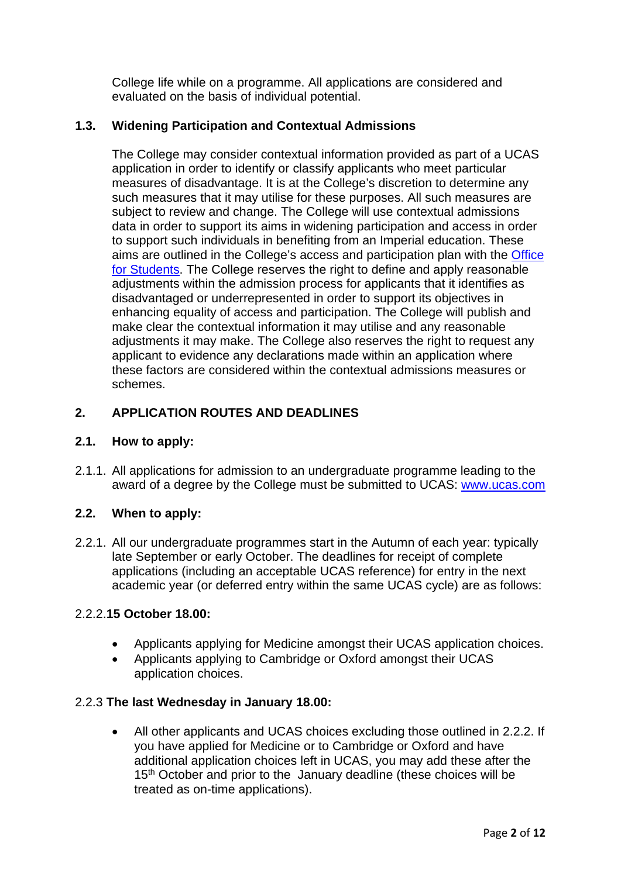College life while on a programme. All applications are considered and evaluated on the basis of individual potential.

# **1.3. Widening Participation and Contextual Admissions**

The College may consider contextual information provided as part of a UCAS application in order to identify or classify applicants who meet particular measures of disadvantage. It is at the College's discretion to determine any such measures that it may utilise for these purposes. All such measures are subject to review and change. The College will use contextual admissions data in order to support its aims in widening participation and access in order to support such individuals in benefiting from an Imperial education. These aims are outlined in the College's access and participation plan with the **Office** [for Students.](https://www.officeforstudents.org.uk/advice-and-guidance/promoting-equal-opportunities/access-and-participation-plans/) The College reserves the right to define and apply reasonable adjustments within the admission process for applicants that it identifies as disadvantaged or underrepresented in order to support its objectives in enhancing equality of access and participation. The College will publish and make clear the contextual information it may utilise and any reasonable adjustments it may make. The College also reserves the right to request any applicant to evidence any declarations made within an application where these factors are considered within the contextual admissions measures or schemes.

# **2. APPLICATION ROUTES AND DEADLINES**

#### **2.1. How to apply:**

2.1.1. All applications for admission to an undergraduate programme leading to the award of a degree by the College must be submitted to UCAS: [www.ucas.com](http://www.ucas.com/)

# **2.2. When to apply:**

2.2.1. All our undergraduate programmes start in the Autumn of each year: typically late September or early October. The deadlines for receipt of complete applications (including an acceptable UCAS reference) for entry in the next academic year (or deferred entry within the same UCAS cycle) are as follows:

#### 2.2.2.**15 October 18.00:**

- Applicants applying for Medicine amongst their UCAS application choices.
- Applicants applying to Cambridge or Oxford amongst their UCAS application choices.

#### 2.2.3 **The last Wednesday in January 18.00:**

• All other applicants and UCAS choices excluding those outlined in 2.2.2. If you have applied for Medicine or to Cambridge or Oxford and have additional application choices left in UCAS, you may add these after the 15<sup>th</sup> October and prior to the January deadline (these choices will be treated as on-time applications).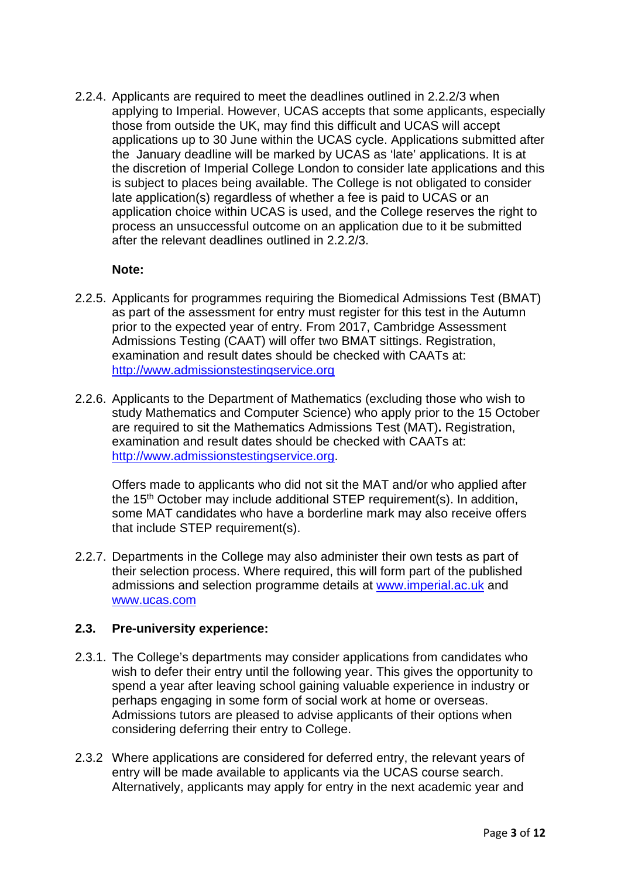2.2.4. Applicants are required to meet the deadlines outlined in 2.2.2/3 when applying to Imperial. However, UCAS accepts that some applicants, especially those from outside the UK, may find this difficult and UCAS will accept applications up to 30 June within the UCAS cycle. Applications submitted after the January deadline will be marked by UCAS as 'late' applications. It is at the discretion of Imperial College London to consider late applications and this is subject to places being available. The College is not obligated to consider late application(s) regardless of whether a fee is paid to UCAS or an application choice within UCAS is used, and the College reserves the right to process an unsuccessful outcome on an application due to it be submitted after the relevant deadlines outlined in 2.2.2/3.

#### **Note:**

- 2.2.5. Applicants for programmes requiring the Biomedical Admissions Test (BMAT) as part of the assessment for entry must register for this test in the Autumn prior to the expected year of entry. From 2017, Cambridge Assessment Admissions Testing (CAAT) will offer two BMAT sittings. Registration, examination and result dates should be checked with CAATs at: [http://www.admissionstestingservice.org](http://www.admissionstestingservice.org/)
- 2.2.6. Applicants to the Department of Mathematics (excluding those who wish to study Mathematics and Computer Science) who apply prior to the 15 October are required to sit the Mathematics Admissions Test (MAT)**.** Registration, examination and result dates should be checked with CAATs at: [http://www.admissionstestingservice.org.](http://www.admissionstestingservice.org/)

Offers made to applicants who did not sit the MAT and/or who applied after the 15<sup>th</sup> October may include additional STEP requirement(s). In addition, some MAT candidates who have a borderline mark may also receive offers that include STEP requirement(s).

2.2.7. Departments in the College may also administer their own tests as part of their selection process. Where required, this will form part of the published admissions and selection programme details at [www.imperial.ac.uk](http://www.imperial.ac.uk/) and [www.ucas.com](http://www.ucas.com/)

#### **2.3. Pre-university experience:**

- 2.3.1. The College's departments may consider applications from candidates who wish to defer their entry until the following year. This gives the opportunity to spend a year after leaving school gaining valuable experience in industry or perhaps engaging in some form of social work at home or overseas. Admissions tutors are pleased to advise applicants of their options when considering deferring their entry to College.
- 2.3.2 Where applications are considered for deferred entry, the relevant years of entry will be made available to applicants via the UCAS course search. Alternatively, applicants may apply for entry in the next academic year and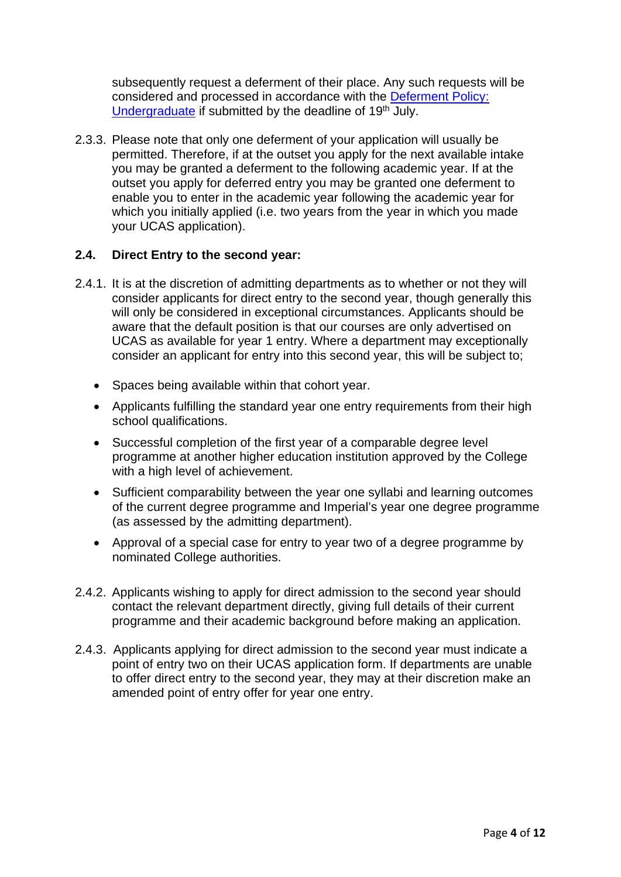subsequently request a deferment of their place. Any such requests will be considered and processed in accordance with the [Deferment Policy:](https://www.imperial.ac.uk/media/imperial-college/administration-and-support-services/registry/academic-governance/public/academic-policy/admissions/22-entry/Deferment-Policy-Undergradaute-2022.pdf)  [Undergraduate](https://www.imperial.ac.uk/media/imperial-college/administration-and-support-services/registry/academic-governance/public/academic-policy/admissions/22-entry/Deferment-Policy-Undergradaute-2022.pdf) if submitted by the deadline of 19<sup>th</sup> July.

2.3.3. Please note that only one deferment of your application will usually be permitted. Therefore, if at the outset you apply for the next available intake you may be granted a deferment to the following academic year. If at the outset you apply for deferred entry you may be granted one deferment to enable you to enter in the academic year following the academic year for which you initially applied (i.e. two years from the year in which you made your UCAS application).

# **2.4. Direct Entry to the second year:**

- 2.4.1. It is at the discretion of admitting departments as to whether or not they will consider applicants for direct entry to the second year, though generally this will only be considered in exceptional circumstances. Applicants should be aware that the default position is that our courses are only advertised on UCAS as available for year 1 entry. Where a department may exceptionally consider an applicant for entry into this second year, this will be subject to;
	- Spaces being available within that cohort year.
	- Applicants fulfilling the standard year one entry requirements from their high school qualifications.
	- Successful completion of the first year of a comparable degree level programme at another higher education institution approved by the College with a high level of achievement.
	- Sufficient comparability between the year one syllabi and learning outcomes of the current degree programme and Imperial's year one degree programme (as assessed by the admitting department).
	- Approval of a special case for entry to year two of a degree programme by nominated College authorities.
- 2.4.2. Applicants wishing to apply for direct admission to the second year should contact the relevant department directly, giving full details of their current programme and their academic background before making an application.
- 2.4.3. Applicants applying for direct admission to the second year must indicate a point of entry two on their UCAS application form. If departments are unable to offer direct entry to the second year, they may at their discretion make an amended point of entry offer for year one entry.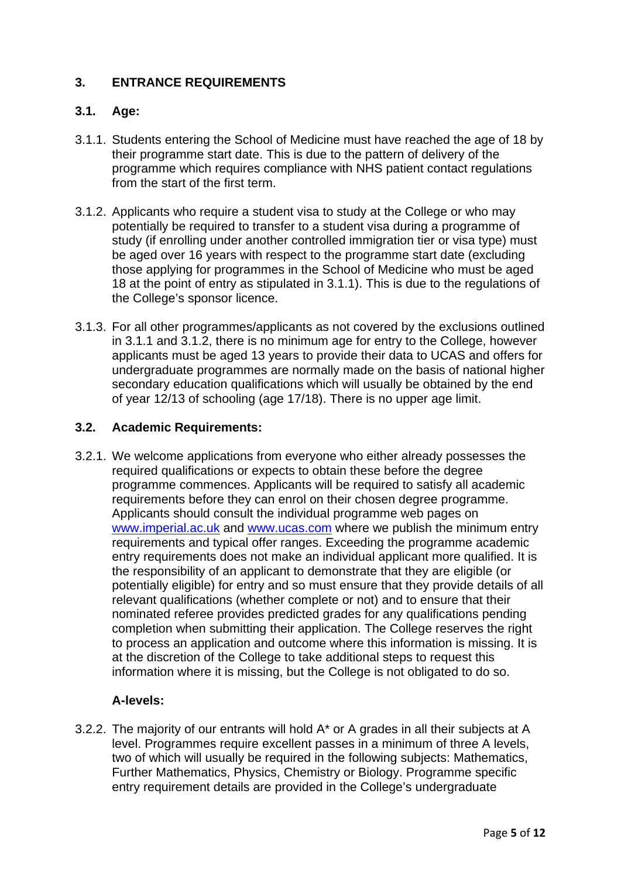# **3. ENTRANCE REQUIREMENTS**

# **3.1. Age:**

- 3.1.1. Students entering the School of Medicine must have reached the age of 18 by their programme start date. This is due to the pattern of delivery of the programme which requires compliance with NHS patient contact regulations from the start of the first term.
- 3.1.2. Applicants who require a student visa to study at the College or who may potentially be required to transfer to a student visa during a programme of study (if enrolling under another controlled immigration tier or visa type) must be aged over 16 years with respect to the programme start date (excluding those applying for programmes in the School of Medicine who must be aged 18 at the point of entry as stipulated in 3.1.1). This is due to the regulations of the College's sponsor licence.
- 3.1.3. For all other programmes/applicants as not covered by the exclusions outlined in 3.1.1 and 3.1.2, there is no minimum age for entry to the College, however applicants must be aged 13 years to provide their data to UCAS and offers for undergraduate programmes are normally made on the basis of national higher secondary education qualifications which will usually be obtained by the end of year 12/13 of schooling (age 17/18). There is no upper age limit.

#### **3.2. Academic Requirements:**

3.2.1. We welcome applications from everyone who either already possesses the required qualifications or expects to obtain these before the degree programme commences. Applicants will be required to satisfy all academic requirements before they can enrol on their chosen degree programme. Applicants should consult the individual programme web pages on [www.imperial.ac.uk](http://www.imperial.ac.uk/) and [www.ucas.com](http://www.ucas.com/) where we publish the minimum entry requirements and typical offer ranges. Exceeding the programme academic entry requirements does not make an individual applicant more qualified. It is the responsibility of an applicant to demonstrate that they are eligible (or potentially eligible) for entry and so must ensure that they provide details of all relevant qualifications (whether complete or not) and to ensure that their nominated referee provides predicted grades for any qualifications pending completion when submitting their application. The College reserves the right to process an application and outcome where this information is missing. It is at the discretion of the College to take additional steps to request this information where it is missing, but the College is not obligated to do so.

#### **A-levels:**

3.2.2. The majority of our entrants will hold A\* or A grades in all their subjects at A level. Programmes require excellent passes in a minimum of three A levels, two of which will usually be required in the following subjects: Mathematics, Further Mathematics, Physics, Chemistry or Biology. Programme specific entry requirement details are provided in the College's undergraduate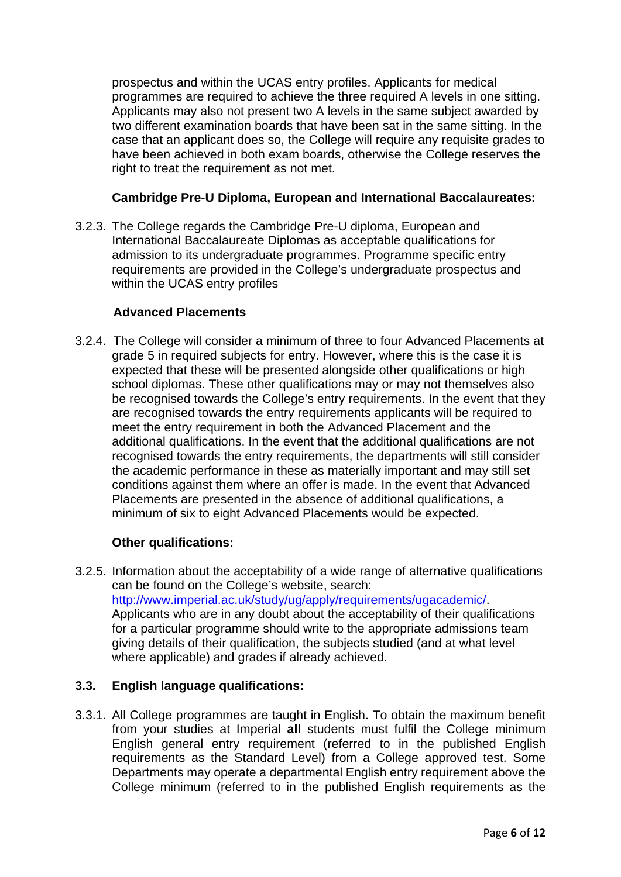prospectus and within the UCAS entry profiles. Applicants for medical programmes are required to achieve the three required A levels in one sitting. Applicants may also not present two A levels in the same subject awarded by two different examination boards that have been sat in the same sitting. In the case that an applicant does so, the College will require any requisite grades to have been achieved in both exam boards, otherwise the College reserves the right to treat the requirement as not met.

# **Cambridge Pre-U Diploma, European and International Baccalaureates:**

3.2.3. The College regards the Cambridge Pre-U diploma, European and International Baccalaureate Diplomas as acceptable qualifications for admission to its undergraduate programmes. Programme specific entry requirements are provided in the College's undergraduate prospectus and within the UCAS entry profiles

#### **Advanced Placements**

3.2.4. The College will consider a minimum of three to four Advanced Placements at grade 5 in required subjects for entry. However, where this is the case it is expected that these will be presented alongside other qualifications or high school diplomas. These other qualifications may or may not themselves also be recognised towards the College's entry requirements. In the event that they are recognised towards the entry requirements applicants will be required to meet the entry requirement in both the Advanced Placement and the additional qualifications. In the event that the additional qualifications are not recognised towards the entry requirements, the departments will still consider the academic performance in these as materially important and may still set conditions against them where an offer is made. In the event that Advanced Placements are presented in the absence of additional qualifications, a minimum of six to eight Advanced Placements would be expected.

#### **Other qualifications:**

3.2.5. Information about the acceptability of a wide range of alternative qualifications can be found on the College's website, search: [http://www.imperial.ac.uk/study/ug/apply/requirements/ugacademic/.](http://www.imperial.ac.uk/study/ug/apply/requirements/ugacademic/) Applicants who are in any doubt about the acceptability of their qualifications for a particular programme should write to the appropriate admissions team giving details of their qualification, the subjects studied (and at what level where applicable) and grades if already achieved.

#### **3.3. English language qualifications:**

3.3.1. All College programmes are taught in English. To obtain the maximum benefit from your studies at Imperial **all** students must fulfil the College minimum English general entry requirement (referred to in the published English requirements as the Standard Level) from a College approved test. Some Departments may operate a departmental English entry requirement above the College minimum (referred to in the published English requirements as the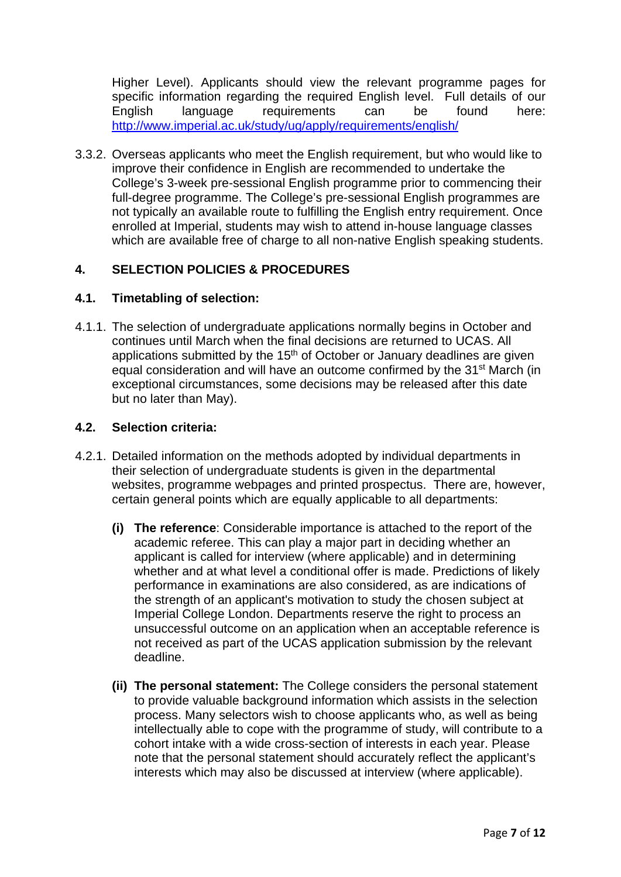Higher Level). Applicants should view the relevant programme pages for specific information regarding the required English level. Full details of our English language requirements can be found here: <http://www.imperial.ac.uk/study/ug/apply/requirements/english/>

3.3.2. Overseas applicants who meet the English requirement, but who would like to improve their confidence in English are recommended to undertake the College's 3-week pre-sessional English programme prior to commencing their full-degree programme. The College's pre-sessional English programmes are not typically an available route to fulfilling the English entry requirement. Once enrolled at Imperial, students may wish to attend in-house language classes which are available free of charge to all non-native English speaking students.

# **4. SELECTION POLICIES & PROCEDURES**

# **4.1. Timetabling of selection:**

4.1.1. The selection of undergraduate applications normally begins in October and continues until March when the final decisions are returned to UCAS. All applications submitted by the  $15<sup>th</sup>$  of October or January deadlines are given equal consideration and will have an outcome confirmed by the 31<sup>st</sup> March (in exceptional circumstances, some decisions may be released after this date but no later than May).

# **4.2. Selection criteria:**

- 4.2.1. Detailed information on the methods adopted by individual departments in their selection of undergraduate students is given in the departmental websites, programme webpages and printed prospectus. There are, however, certain general points which are equally applicable to all departments:
	- **(i) The reference**: Considerable importance is attached to the report of the academic referee. This can play a major part in deciding whether an applicant is called for interview (where applicable) and in determining whether and at what level a conditional offer is made. Predictions of likely performance in examinations are also considered, as are indications of the strength of an applicant's motivation to study the chosen subject at Imperial College London. Departments reserve the right to process an unsuccessful outcome on an application when an acceptable reference is not received as part of the UCAS application submission by the relevant deadline.
	- **(ii) The personal statement:** The College considers the personal statement to provide valuable background information which assists in the selection process. Many selectors wish to choose applicants who, as well as being intellectually able to cope with the programme of study, will contribute to a cohort intake with a wide cross-section of interests in each year. Please note that the personal statement should accurately reflect the applicant's interests which may also be discussed at interview (where applicable).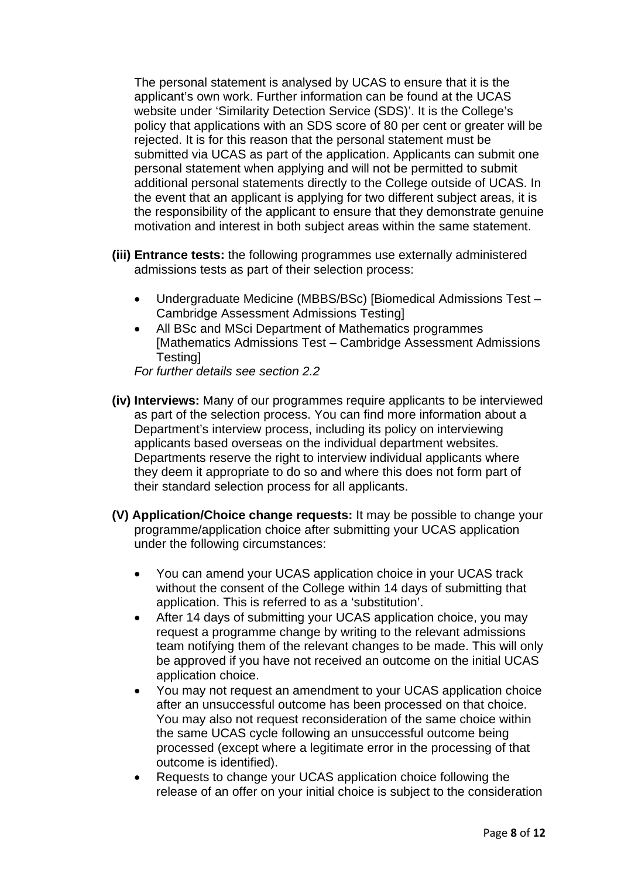The personal statement is analysed by UCAS to ensure that it is the applicant's own work. Further information can be found at the UCAS website under 'Similarity Detection Service (SDS)'. It is the College's policy that applications with an SDS score of 80 per cent or greater will be rejected. It is for this reason that the personal statement must be submitted via UCAS as part of the application. Applicants can submit one personal statement when applying and will not be permitted to submit additional personal statements directly to the College outside of UCAS. In the event that an applicant is applying for two different subject areas, it is the responsibility of the applicant to ensure that they demonstrate genuine motivation and interest in both subject areas within the same statement.

- **(iii) Entrance tests:** the following programmes use externally administered admissions tests as part of their selection process:
	- Undergraduate Medicine (MBBS/BSc) [Biomedical Admissions Test Cambridge Assessment Admissions Testing]
	- All BSc and MSci Department of Mathematics programmes [Mathematics Admissions Test – Cambridge Assessment Admissions Testing]

*For further details see section 2.2* 

- **(iv) Interviews:** Many of our programmes require applicants to be interviewed as part of the selection process. You can find more information about a Department's interview process, including its policy on interviewing applicants based overseas on the individual department websites. Departments reserve the right to interview individual applicants where they deem it appropriate to do so and where this does not form part of their standard selection process for all applicants.
- **(V) Application/Choice change requests:** It may be possible to change your programme/application choice after submitting your UCAS application under the following circumstances:
	- You can amend your UCAS application choice in your UCAS track without the consent of the College within 14 days of submitting that application. This is referred to as a 'substitution'.
	- After 14 days of submitting your UCAS application choice, you may request a programme change by writing to the relevant admissions team notifying them of the relevant changes to be made. This will only be approved if you have not received an outcome on the initial UCAS application choice.
	- You may not request an amendment to your UCAS application choice after an unsuccessful outcome has been processed on that choice. You may also not request reconsideration of the same choice within the same UCAS cycle following an unsuccessful outcome being processed (except where a legitimate error in the processing of that outcome is identified).
	- Requests to change your UCAS application choice following the release of an offer on your initial choice is subject to the consideration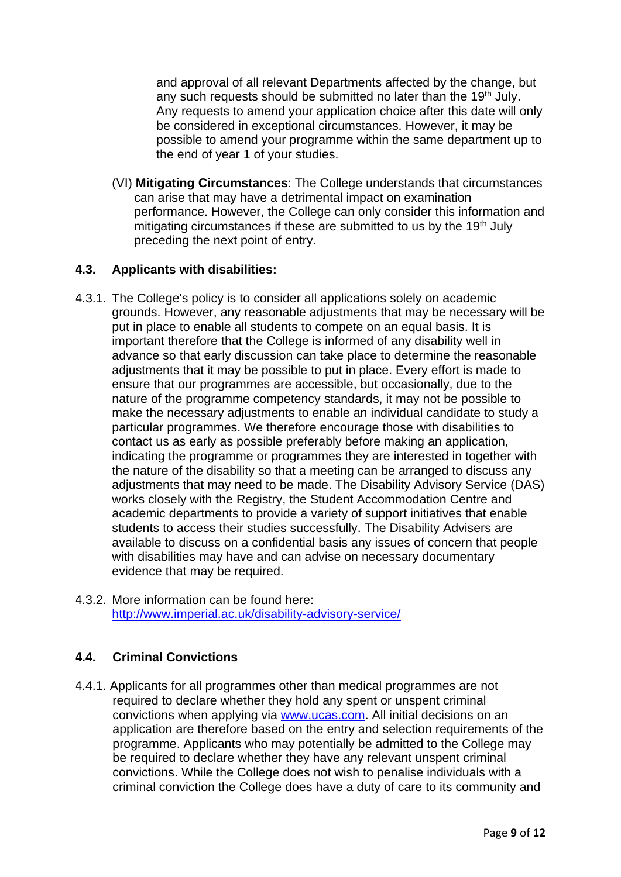and approval of all relevant Departments affected by the change, but any such requests should be submitted no later than the 19<sup>th</sup> July. Any requests to amend your application choice after this date will only be considered in exceptional circumstances. However, it may be possible to amend your programme within the same department up to the end of year 1 of your studies.

(VI) **Mitigating Circumstances**: The College understands that circumstances can arise that may have a detrimental impact on examination performance. However, the College can only consider this information and mitigating circumstances if these are submitted to us by the 19<sup>th</sup> July preceding the next point of entry.

# **4.3. Applicants with disabilities:**

- 4.3.1. The College's policy is to consider all applications solely on academic grounds. However, any reasonable adjustments that may be necessary will be put in place to enable all students to compete on an equal basis. It is important therefore that the College is informed of any disability well in advance so that early discussion can take place to determine the reasonable adjustments that it may be possible to put in place. Every effort is made to ensure that our programmes are accessible, but occasionally, due to the nature of the programme competency standards, it may not be possible to make the necessary adjustments to enable an individual candidate to study a particular programmes. We therefore encourage those with disabilities to contact us as early as possible preferably before making an application, indicating the programme or programmes they are interested in together with the nature of the disability so that a meeting can be arranged to discuss any adjustments that may need to be made. The Disability Advisory Service (DAS) works closely with the Registry, the Student Accommodation Centre and academic departments to provide a variety of support initiatives that enable students to access their studies successfully. The Disability Advisers are available to discuss on a confidential basis any issues of concern that people with disabilities may have and can advise on necessary documentary evidence that may be required.
- 4.3.2. More information can be found here: <http://www.imperial.ac.uk/disability-advisory-service/>

# **4.4. Criminal Convictions**

4.4.1. Applicants for all programmes other than medical programmes are not required to declare whether they hold any spent or unspent criminal convictions when applying via [www.ucas.com.](http://www.ucas.com/) All initial decisions on an application are therefore based on the entry and selection requirements of the programme. Applicants who may potentially be admitted to the College may be required to declare whether they have any relevant unspent criminal convictions. While the College does not wish to penalise individuals with a criminal conviction the College does have a duty of care to its community and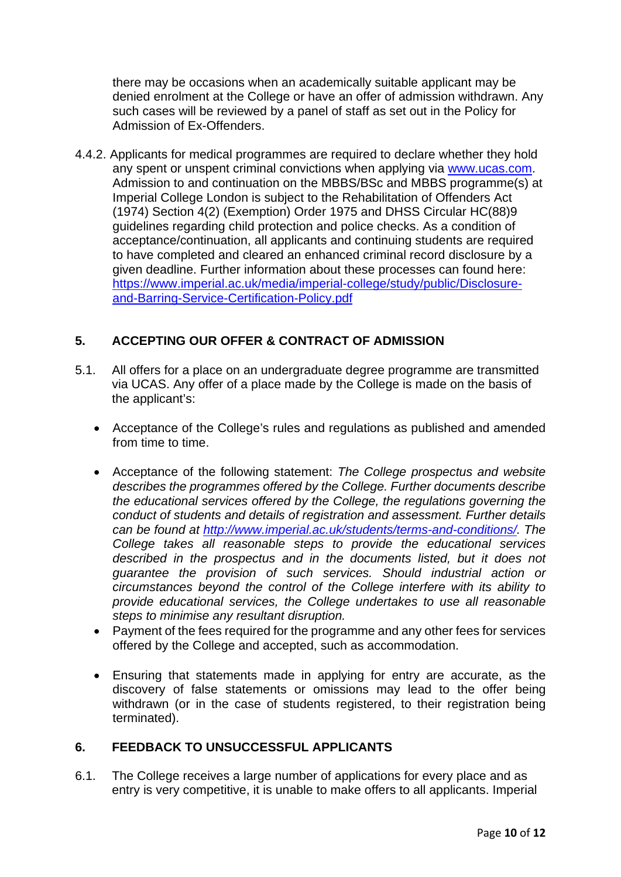there may be occasions when an academically suitable applicant may be denied enrolment at the College or have an offer of admission withdrawn. Any such cases will be reviewed by a panel of staff as set out in the Policy for Admission of Ex-Offenders.

4.4.2. Applicants for medical programmes are required to declare whether they hold any spent or unspent criminal convictions when applying via [www.ucas.com.](http://www.ucas.com/) Admission to and continuation on the MBBS/BSc and MBBS programme(s) at Imperial College London is subject to the Rehabilitation of Offenders Act (1974) Section 4(2) (Exemption) Order 1975 and DHSS Circular HC(88)9 guidelines regarding child protection and police checks. As a condition of acceptance/continuation, all applicants and continuing students are required to have completed and cleared an enhanced criminal record disclosure by a given deadline. Further information about these processes can found here: [https://www.imperial.ac.uk/media/imperial-college/study/public/Disclosure](https://www.imperial.ac.uk/media/imperial-college/study/public/Disclosure-and-Barring-Service-Certification-Policy.pdf)[and-Barring-Service-Certification-Policy.pdf](https://www.imperial.ac.uk/media/imperial-college/study/public/Disclosure-and-Barring-Service-Certification-Policy.pdf)

# **5. ACCEPTING OUR OFFER & CONTRACT OF ADMISSION**

- 5.1. All offers for a place on an undergraduate degree programme are transmitted via UCAS. Any offer of a place made by the College is made on the basis of the applicant's:
	- Acceptance of the College's rules and regulations as published and amended from time to time.
	- Acceptance of the following statement: *The College prospectus and website describes the programmes offered by the College. Further documents describe the educational services offered by the College, the regulations governing the conduct of students and details of registration and assessment. Further details can be found at [http://www.imperial.ac.uk/students/terms-and-conditions/.](http://www.imperial.ac.uk/students/terms-and-conditions/) The College takes all reasonable steps to provide the educational services described in the prospectus and in the documents listed, but it does not guarantee the provision of such services. Should industrial action or circumstances beyond the control of the College interfere with its ability to provide educational services, the College undertakes to use all reasonable steps to minimise any resultant disruption.*
	- Payment of the fees required for the programme and any other fees for services offered by the College and accepted, such as accommodation.
	- Ensuring that statements made in applying for entry are accurate, as the discovery of false statements or omissions may lead to the offer being withdrawn (or in the case of students registered, to their registration being terminated).

#### **6. FEEDBACK TO UNSUCCESSFUL APPLICANTS**

6.1. The College receives a large number of applications for every place and as entry is very competitive, it is unable to make offers to all applicants. Imperial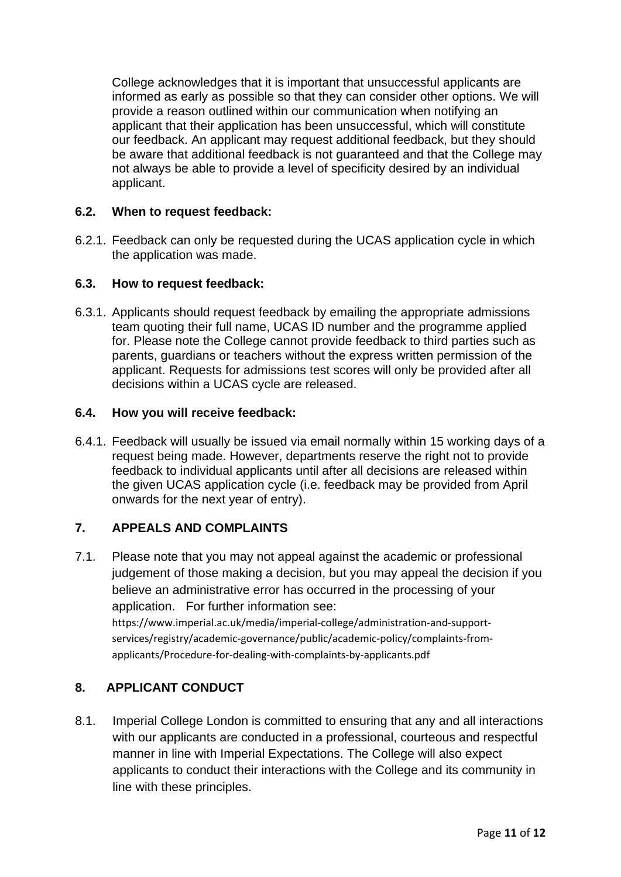College acknowledges that it is important that unsuccessful applicants are informed as early as possible so that they can consider other options. We will provide a reason outlined within our communication when notifying an applicant that their application has been unsuccessful, which will constitute our feedback. An applicant may request additional feedback, but they should be aware that additional feedback is not guaranteed and that the College may not always be able to provide a level of specificity desired by an individual applicant.

#### **6.2. When to request feedback:**

6.2.1. Feedback can only be requested during the UCAS application cycle in which the application was made.

#### **6.3. How to request feedback:**

6.3.1. Applicants should request feedback by emailing the appropriate admissions team quoting their full name, UCAS ID number and the programme applied for. Please note the College cannot provide feedback to third parties such as parents, guardians or teachers without the express written permission of the applicant. Requests for admissions test scores will only be provided after all decisions within a UCAS cycle are released.

#### **6.4. How you will receive feedback:**

6.4.1. Feedback will usually be issued via email normally within 15 working days of a request being made. However, departments reserve the right not to provide feedback to individual applicants until after all decisions are released within the given UCAS application cycle (i.e. feedback may be provided from April onwards for the next year of entry).

# **7. APPEALS AND COMPLAINTS**

7.1. Please note that you may not appeal against the academic or professional judgement of those making a decision, but you may appeal the decision if you believe an administrative error has occurred in the processing of your application. For further information see: [https://www.imperial.ac.uk/media/imperial-college/administration-and-support](https://www.imperial.ac.uk/media/imperial-college/administration-and-support-services/registry/academic-governance/public/academic-policy/complaints-from-applicants/Procedure-for-dealing-with-complaints-by-applicants.pdf)[services/registry/academic-governance/public/academic-policy/complaints-from](https://www.imperial.ac.uk/media/imperial-college/administration-and-support-services/registry/academic-governance/public/academic-policy/complaints-from-applicants/Procedure-for-dealing-with-complaints-by-applicants.pdf)[applicants/Procedure-for-dealing-with-complaints-by-applicants.pdf](https://www.imperial.ac.uk/media/imperial-college/administration-and-support-services/registry/academic-governance/public/academic-policy/complaints-from-applicants/Procedure-for-dealing-with-complaints-by-applicants.pdf)

# **8. APPLICANT CONDUCT**

8.1. Imperial College London is committed to ensuring that any and all interactions with our applicants are conducted in a professional, courteous and respectful manner in line with Imperial Expectations. The College will also expect applicants to conduct their interactions with the College and its community in line with these principles.